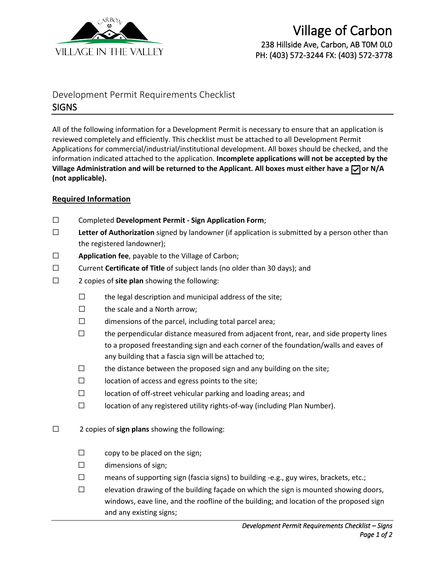

## Village of Carbon 238 Hillside Ave, Carbon, AB T0M 0L0 PH: (403) 572-3244 FX: (403) 572-3778

## Development Permit Requirements Checklist **SIGNS**

All of the following information for a Development Permit is necessary to ensure that an application is reviewed completely and efficiently. This checklist must be attached to all Development Permit Applications for commercial/industrial/institutional development. All boxes should be checked, and the information indicated attached to the application. **Incomplete applications will not be accepted by the**  Village Administration and will be returned to the Applicant. All boxes must either have a  $\sqrt{ }$  or N/A **(not applicable).**

## **Required Information**

- ☐ Completed **Development Permit - Sign Application Form**;
- ☐ **Letter of Authorization** signed by landowner (if application is submitted by a person other than the registered landowner);
- ☐ **Application fee**, payable to the Village of Carbon;
- ☐ Current **Certificate of Title** of subject lands (no older than 30 days); and
- ☐ 2 copies of **site plan** showing the following:
	- $\Box$  the legal description and municipal address of the site;
	- ☐ the scale and a North arrow;
	- $\Box$  dimensions of the parcel, including total parcel area;
	- $\Box$  the perpendicular distance measured from adjacent front, rear, and side property lines to a proposed freestanding sign and each corner of the foundation/walls and eaves of any building that a fascia sign will be attached to;
	- $\Box$  the distance between the proposed sign and any building on the site;
	- $\Box$  location of access and egress points to the site;
	- ☐ location of off-street vehicular parking and loading areas; and
	- ☐ location of any registered utility rights-of-way (including Plan Number).
- ☐ 2 copies of **sign plans** showing the following:
	- $\Box$  copy to be placed on the sign;
	- ☐ dimensions of sign;
	- $\Box$  means of supporting sign (fascia signs) to building -e.g., guy wires, brackets, etc.;

☐ elevation drawing of the building façade on which the sign is mounted showing doors, windows, eave line, and the roofline of the building; and location of the proposed sign and any existing signs;